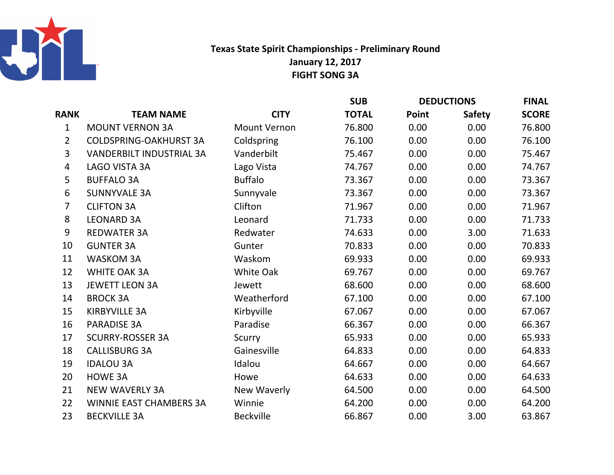

## Texas State Spirit Championships - Preliminary RoundFIGHT SONG 3AJanuary 12, 2017

|                |                                 |                     | <b>SUB</b>   | <b>DEDUCTIONS</b> |               | <b>FINAL</b> |
|----------------|---------------------------------|---------------------|--------------|-------------------|---------------|--------------|
| <b>RANK</b>    | <b>TEAM NAME</b>                | <b>CITY</b>         | <b>TOTAL</b> | Point             | <b>Safety</b> | <b>SCORE</b> |
| $\mathbf{1}$   | <b>MOUNT VERNON 3A</b>          | <b>Mount Vernon</b> | 76.800       | 0.00              | 0.00          | 76.800       |
| $\overline{2}$ | <b>COLDSPRING-OAKHURST 3A</b>   | Coldspring          | 76.100       | 0.00              | 0.00          | 76.100       |
| $\overline{3}$ | <b>VANDERBILT INDUSTRIAL 3A</b> | Vanderbilt          | 75.467       | 0.00              | 0.00          | 75.467       |
| 4              | LAGO VISTA 3A                   | Lago Vista          | 74.767       | 0.00              | 0.00          | 74.767       |
| 5              | <b>BUFFALO 3A</b>               | <b>Buffalo</b>      | 73.367       | 0.00              | 0.00          | 73.367       |
| 6              | <b>SUNNYVALE 3A</b>             | Sunnyvale           | 73.367       | 0.00              | 0.00          | 73.367       |
| $\overline{7}$ | <b>CLIFTON 3A</b>               | Clifton             | 71.967       | 0.00              | 0.00          | 71.967       |
| 8              | <b>LEONARD 3A</b>               | Leonard             | 71.733       | 0.00              | 0.00          | 71.733       |
| 9              | <b>REDWATER 3A</b>              | Redwater            | 74.633       | 0.00              | 3.00          | 71.633       |
| 10             | <b>GUNTER 3A</b>                | Gunter              | 70.833       | 0.00              | 0.00          | 70.833       |
| 11             | <b>WASKOM 3A</b>                | Waskom              | 69.933       | 0.00              | 0.00          | 69.933       |
| 12             | <b>WHITE OAK 3A</b>             | White Oak           | 69.767       | 0.00              | 0.00          | 69.767       |
| 13             | <b>JEWETT LEON 3A</b>           | Jewett              | 68.600       | 0.00              | 0.00          | 68.600       |
| 14             | <b>BROCK 3A</b>                 | Weatherford         | 67.100       | 0.00              | 0.00          | 67.100       |
| 15             | <b>KIRBYVILLE 3A</b>            | Kirbyville          | 67.067       | 0.00              | 0.00          | 67.067       |
| 16             | <b>PARADISE 3A</b>              | Paradise            | 66.367       | 0.00              | 0.00          | 66.367       |
| 17             | <b>SCURRY-ROSSER 3A</b>         | Scurry              | 65.933       | 0.00              | 0.00          | 65.933       |
| 18             | <b>CALLISBURG 3A</b>            | Gainesville         | 64.833       | 0.00              | 0.00          | 64.833       |
| 19             | <b>IDALOU 3A</b>                | Idalou              | 64.667       | 0.00              | 0.00          | 64.667       |
| 20             | HOWE 3A                         | Howe                | 64.633       | 0.00              | 0.00          | 64.633       |
| 21             | <b>NEW WAVERLY 3A</b>           | New Waverly         | 64.500       | 0.00              | 0.00          | 64.500       |
| 22             | <b>WINNIE EAST CHAMBERS 3A</b>  | Winnie              | 64.200       | 0.00              | 0.00          | 64.200       |
| 23             | <b>BECKVILLE 3A</b>             | <b>Beckville</b>    | 66.867       | 0.00              | 3.00          | 63.867       |
|                |                                 |                     |              |                   |               |              |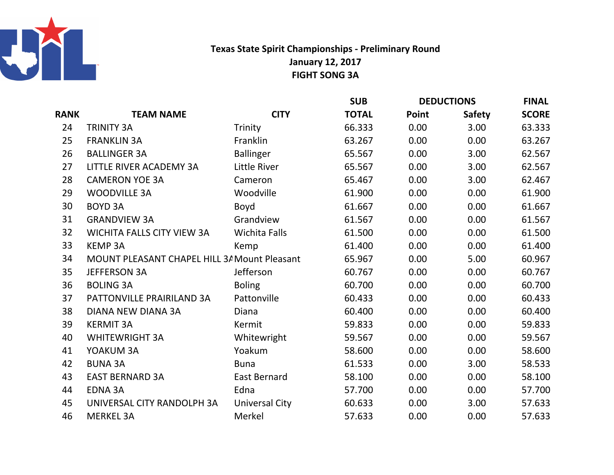

## Texas State Spirit Championships - Preliminary RoundFIGHT SONG 3A January 12, 2017

|             |                                              |                       | <b>SUB</b>   | <b>DEDUCTIONS</b> |               | <b>FINAL</b> |
|-------------|----------------------------------------------|-----------------------|--------------|-------------------|---------------|--------------|
| <b>RANK</b> | <b>TEAM NAME</b>                             | <b>CITY</b>           | <b>TOTAL</b> | Point             | <b>Safety</b> | <b>SCORE</b> |
| 24          | <b>TRINITY 3A</b>                            | Trinity               | 66.333       | 0.00              | 3.00          | 63.333       |
| 25          | <b>FRANKLIN 3A</b>                           | Franklin              | 63.267       | 0.00              | 0.00          | 63.267       |
| 26          | <b>BALLINGER 3A</b>                          | <b>Ballinger</b>      | 65.567       | 0.00              | 3.00          | 62.567       |
| 27          | LITTLE RIVER ACADEMY 3A                      | Little River          | 65.567       | 0.00              | 3.00          | 62.567       |
| 28          | <b>CAMERON YOE 3A</b>                        | Cameron               | 65.467       | 0.00              | 3.00          | 62.467       |
| 29          | <b>WOODVILLE 3A</b>                          | Woodville             | 61.900       | 0.00              | 0.00          | 61.900       |
| 30          | <b>BOYD 3A</b>                               | Boyd                  | 61.667       | 0.00              | 0.00          | 61.667       |
| 31          | <b>GRANDVIEW 3A</b>                          | Grandview             | 61.567       | 0.00              | 0.00          | 61.567       |
| 32          | <b>WICHITA FALLS CITY VIEW 3A</b>            | <b>Wichita Falls</b>  | 61.500       | 0.00              | 0.00          | 61.500       |
| 33          | <b>KEMP 3A</b>                               | Kemp                  | 61.400       | 0.00              | 0.00          | 61.400       |
| 34          | MOUNT PLEASANT CHAPEL HILL 3/ Mount Pleasant |                       | 65.967       | 0.00              | 5.00          | 60.967       |
| 35          | <b>JEFFERSON 3A</b>                          | Jefferson             | 60.767       | 0.00              | 0.00          | 60.767       |
| 36          | <b>BOLING 3A</b>                             | <b>Boling</b>         | 60.700       | 0.00              | 0.00          | 60.700       |
| 37          | PATTONVILLE PRAIRILAND 3A                    | Pattonville           | 60.433       | 0.00              | 0.00          | 60.433       |
| 38          | DIANA NEW DIANA 3A                           | Diana                 | 60.400       | 0.00              | 0.00          | 60.400       |
| 39          | <b>KERMIT 3A</b>                             | Kermit                | 59.833       | 0.00              | 0.00          | 59.833       |
| 40          | <b>WHITEWRIGHT 3A</b>                        | Whitewright           | 59.567       | 0.00              | 0.00          | 59.567       |
| 41          | YOAKUM 3A                                    | Yoakum                | 58.600       | 0.00              | 0.00          | 58.600       |
| 42          | <b>BUNA 3A</b>                               | <b>Buna</b>           | 61.533       | 0.00              | 3.00          | 58.533       |
| 43          | <b>EAST BERNARD 3A</b>                       | <b>East Bernard</b>   | 58.100       | 0.00              | 0.00          | 58.100       |
| 44          | <b>EDNA 3A</b>                               | Edna                  | 57.700       | 0.00              | 0.00          | 57.700       |
| 45          | UNIVERSAL CITY RANDOLPH 3A                   | <b>Universal City</b> | 60.633       | 0.00              | 3.00          | 57.633       |
| 46          | <b>MERKEL 3A</b>                             | Merkel                | 57.633       | 0.00              | 0.00          | 57.633       |
|             |                                              |                       |              |                   |               |              |